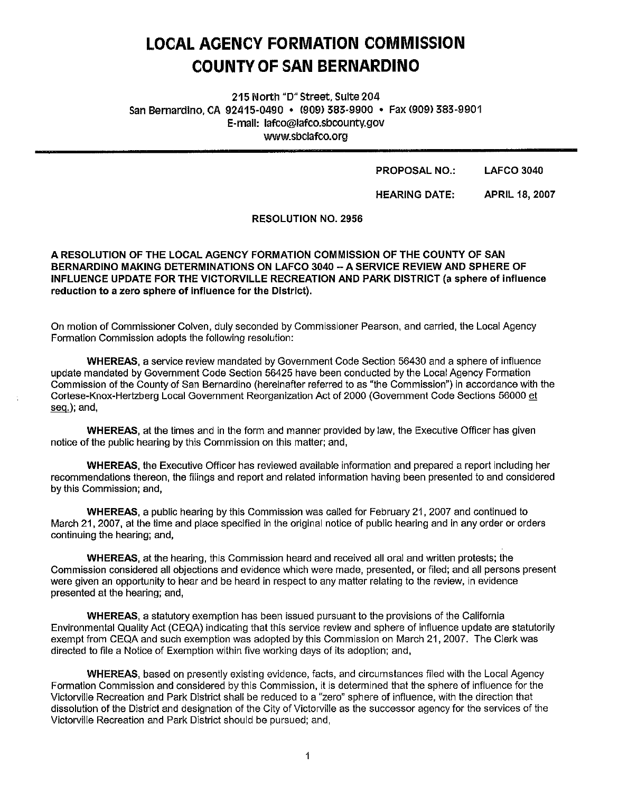## **LOCAL AGENCY FORMATION COMMISSION COUNTY OF SAN BERNARDINO**

215 North "D" Street, Suite 204 San Bernardino, CA 92415-0490 • (909) 383-9900 • Fax (909) 383-9901 E-mail: lafco@lafco.sbcounty.gov www.sbclafco.org

> PROPOSAL NO.: LAFCO 3040

HEARING DATE: APRIL 18, 2007

RESOLUTION NO. 2956

## **A RESOLUTION OF THE LOCAL AGENCY FORMATION COMMISSION OF THE COUNTY OF SAN BERNARDINO MAKING DETERMINATIONS ON LAFCO 3040 --A SERVICE REVIEW AND SPHERE OF INFLUENCE UPDATE FOR THE VICTORVILLE RECREATION AND PARK DISTRICT (a sphere of influence reduction to a zero sphere of influence for the District).**

On motion of Commissioner Colven, duly seconded by Commissioner Pearson, and carried, the Local Agency Formation Commission adopts the following resolution:

**WHEREAS,** a service review mandated by Government Code Section 56430 and a sphere of influence update mandated by Government Code Section 56425 have been conducted by the Local Agency Formation Commission of the County of San Bernardino (hereinafter referred to as "the Commission") in accordance with the Cortese-Knox-Hertzberg Local Government Reorganization Act of 2000 (Government Code Sections 56000 et seq.); and,

**WHEREAS,** at the times and in the form and manner provided by law, the Executive Officer has given notice of the public hearing by this Commission on this matter; and,

**WHEREAS,** the Executive Officer has reviewed available information and prepared a report including her recommendations thereon, the filings and report and related information having been presented to and considered by this Commission; and,

**WHEREAS,** a public hearing by this Commission was called for February 21, 2007 and continued to March 21, 2007, at the time and place specified in the original notice of public hearing and in any order or orders continuing the hearing; and,

**WHEREAS,** at the hearing, this Commission heard and received all oral and written protests; the Commission considered all objections and evidence which were made, presented, or filed; and all persons present were given an opportunity to hear and be heard in respect to any matter relating to the review, in evidence presented at the hearing; and,

**WHEREAS,** a statutory exemption has been issued pursuant to the provisions of the California Environmental Quality Act (CEQA) indicating that this service review and sphere of influence update are statutorily exempt from CEQA and such exemption was adopted by this Commission on March 21, 2007. The Clerk was directed to file a Notice of Exemption within five working days of its adoption; and,

**WHEREAS,** based on presently existing evidence, facts, and circumstances filed with the Local Agency Formation Commission and considered by this Commission, it is determined that the sphere of influence for the Victorville Recreation and Park District shall be reduced to a "zero" sphere of influence, with the direction that dissolution of the District and designation of the City of Victorville as the successor agency for the services of the Victorville Recreation and Park District should be pursued; and,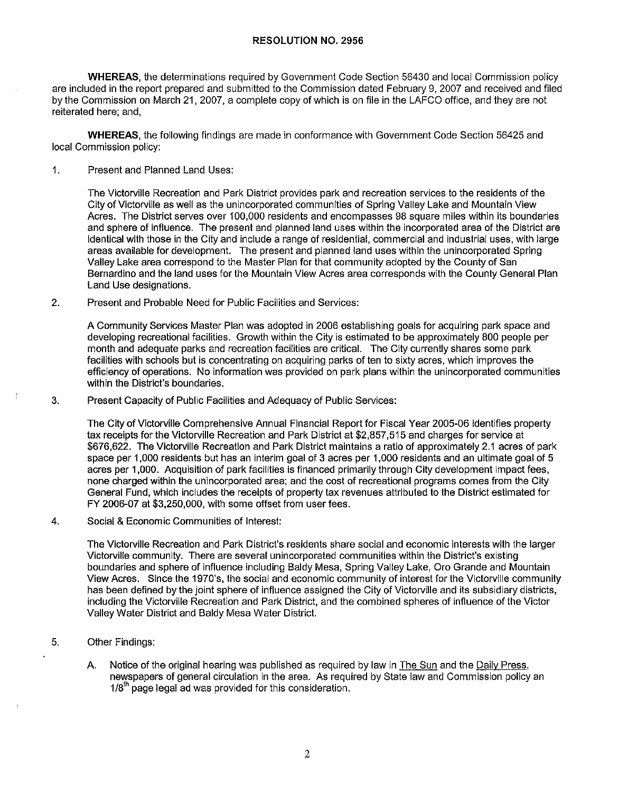## **RESOLUTION NO. 2956**

**WHEREAS,** the determinations required by Government Code Section 56430 and local Commission policy are included in the report prepared and submitted to the Commission dated February 9, 2007 and received and filed by the Commission on March 21, 2007, a complete copy of which is on file in the LAFCO office, and they are not reiterated here; and,

**WHEREAS,** the following findings are made in conformance with Government Code Section 56425 and local Commission policy:

1. Present and Planned Land Uses:

The Victorville Recreation and Park District provides park and recreation services to the residents of the City of Victorville as well as the unincorporated communities of Spring Valley Lake and Mountain View Acres. The District serves over 100,000 residents and encompasses 98 square miles within its boundaries and sphere of influence. The present and planned land uses within the incorporated area of the District are identical with those in the City and include a range of residential, commercial and industrial uses, with large areas available for development. The present and planned land uses within the unincorporated Spring Valley Lake area correspond to the Master Plan for that community adopted by the County of San Bernardino and the land uses for the Mountain View Acres area corresponds with the County General Plan Land Use designations.

2. Present and Probable Need for Public Facilities and Services:

A Community Services Master Plan was adopted in 2006 establishing goals for acquiring park space and developing recreational facilities. Growth within the City is estimated to be approximately 800 people per month and adequate parks and recreation facilities are critical. The City currently shares some park facilities with schools but is concentrating on acquiring parks of ten to sixty acres, which improves the efficiency of operations. No information was provided on park plans within the unincorporated communities within the District's boundaries.

3. Present Capacity of Public Facilities and Adequacy of Public Services:

The City of Victorville Comprehensive Annual Financial Report for Fiscal Year 2005-06 identifies property tax receipts for the Victorville Recreation and Park District at \$2,857,515 and charges for service at \$676,622. The Victorville Recreation and Park District maintains a ratio of approximately 2.1 acres of park space per 1,000 residents but has an interim goal of 3 acres per 1,000 residents and an ultimate goal of 5 acres per 1,000. Acquisition of park facilities is financed primarily through City development impact fees, none charged within the unincorporated area; and the cost of recreational programs comes from the City General Fund, which includes the receipts of property tax revenues attributed to the District estimated for FY 2006-07 at \$3,250,000, with some offset from user fees.

4. Social & Economic Communities of Interest:

The Victorville Recreation and Park District's residents share social and economic interests with the larger Victorville community. There are several unincorporated communities within the District's existing boundaries and sphere of influence including Baldy Mesa, Spring Valley Lake, Oro Grande and Mountain View Acres. Since the 1970's, the social and economic community of interest for the Victorville community has been defined by the joint sphere of influence assigned the City of Victorville and its subsidiary districts, including the Victorville Recreation and Park District, and the combined spheres of influence of the Victor Valley Water District and Baldy Mesa Water District.

- 5. other Findings:
	- A. Notice of the original hearing was published as required by law in The Sun and the Daily Press, newspapers of general circulation in the area. As required by State law and Commission policy an  $1/8<sup>th</sup>$  page legal ad was provided for this consideration.